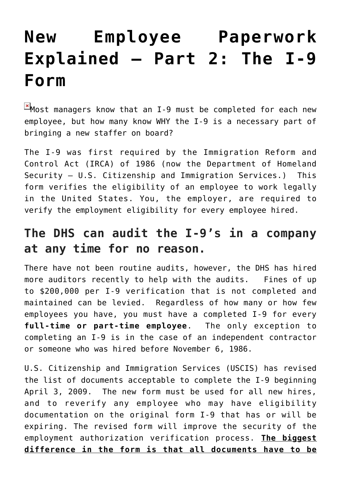# **[New Employee Paperwork](https://managemypractice.com/new-employee-paperwork-explained-%e2%80%93-part-2-the-i-9-form/) [Explained – Part 2: The I-9](https://managemypractice.com/new-employee-paperwork-explained-%e2%80%93-part-2-the-i-9-form/) [Form](https://managemypractice.com/new-employee-paperwork-explained-%e2%80%93-part-2-the-i-9-form/)**

 $M$ Most managers know that an I-9 must be completed for each new employee, but how many know WHY the I-9 is a necessary part of bringing a new staffer on board?

The I-9 was first required by the Immigration Reform and Control Act (IRCA) of 1986 (now the Department of Homeland Security – U.S. Citizenship and Immigration Services.) This form verifies the eligibility of an employee to work legally in the United States. You, the employer, are required to verify the employment eligibility for every employee hired.

#### **The DHS can audit the I-9's in a company at any time for no reason.**

There have not been routine audits, however, the DHS has hired more auditors recently to help with the audits. Fines of up to \$200,000 per I-9 verification that is not completed and maintained can be levied. Regardless of how many or how few employees you have, you must have a completed I-9 for every **full-time or part-time employee**. The only exception to completing an I-9 is in the case of an independent contractor or someone who was hired before November 6, 1986.

U.S. Citizenship and Immigration Services (USCIS) has revised the list of documents acceptable to complete the I-9 beginning April 3, 2009. The new form must be used for all new hires, and to reverify any employee who may have eligibility documentation on the original form I-9 that has or will be expiring. The revised form will improve the security of the employment authorization verification process. **The biggest difference in the form is that all documents have to be**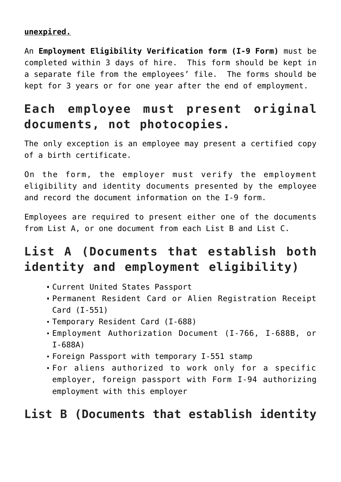#### **unexpired.**

An **[Employment Eligibility Verification form \(I-9 Form\)](http://www.uscis.gov/portal/site/uscis/menuitem.5af9bb95919f35e66f614176543f6d1a/?vgnextoid=31b3ab0a43b5d010VgnVCM10000048f3d6a1RCRD&vgnextchannel=db029c7755cb9010VgnVCM10000045f3d6a1RCRD)** must be completed within 3 days of hire. This form should be kept in a separate file from the employees' file. The forms should be kept for 3 years or for one year after the end of employment.

## **Each employee must present original documents, not photocopies.**

The only exception is an employee may present a certified copy of a birth certificate.

On the form, the employer must verify the employment eligibility and identity documents presented by the employee and record the document information on the I-9 form.

Employees are required to present either one of the documents from List A, or one document from each List B and List C.

# **List A (Documents that establish both identity and employment eligibility)**

- Current United States Passport
- Permanent Resident Card or Alien Registration Receipt Card (I-551)
- Temporary Resident Card (I-688)
- Employment Authorization Document (I-766, I-688B, or I-688A)
- Foreign Passport with temporary I-551 stamp
- For aliens authorized to work only for a specific employer, foreign passport with Form I-94 authorizing employment with this employer

#### **List B (Documents that establish identity**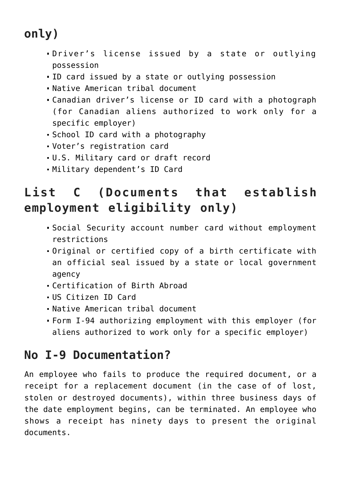# **only)**

- Driver's license issued by a state or outlying possession
- ID card issued by a state or outlying possession
- Native American tribal document
- Canadian driver's license or ID card with a photograph (for Canadian aliens authorized to work only for a specific employer)
- School ID card with a photography
- Voter's registration card
- U.S. Military card or draft record
- Military dependent's ID Card

# **List C (Documents that establish employment eligibility only)**

- Social Security account number card without employment restrictions
- Original or certified copy of a birth certificate with an official seal issued by a state or local government agency
- Certification of Birth Abroad
- US Citizen ID Card
- Native American tribal document
- Form I-94 authorizing employment with this employer (for aliens authorized to work only for a specific employer)

### **No I-9 Documentation?**

An employee who fails to produce the required document, or a receipt for a replacement document (in the case of of lost, stolen or destroyed documents), within three business days of the date employment begins, can be terminated. An employee who shows a receipt has ninety days to present the original documents.